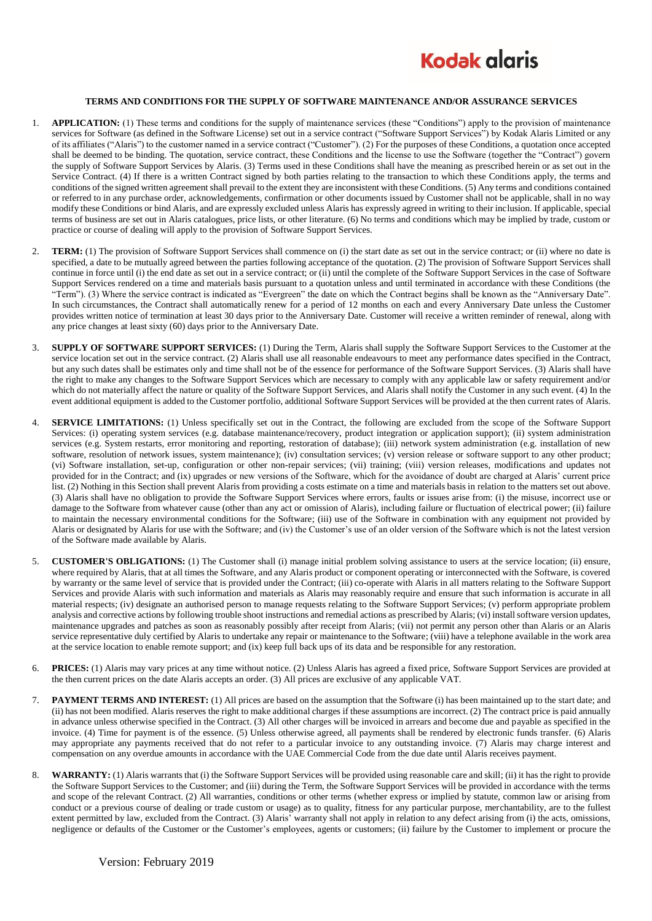

## **TERMS AND CONDITIONS FOR THE SUPPLY OF SOFTWARE MAINTENANCE AND/OR ASSURANCE SERVICES**

- 1. **APPLICATION:** (1) These terms and conditions for the supply of maintenance services (these "Conditions") apply to the provision of maintenance services for Software (as defined in the Software License) set out in a service contract ("Software Support Services") by Kodak Alaris Limited or any of its affiliates ("Alaris") to the customer named in a service contract ("Customer"). (2) For the purposes of these Conditions, a quotation once accepted shall be deemed to be binding. The quotation, service contract, these Conditions and the license to use the Software (together the "Contract") govern the supply of Software Support Services by Alaris. (3) Terms used in these Conditions shall have the meaning as prescribed herein or as set out in the Service Contract. (4) If there is a written Contract signed by both parties relating to the transaction to which these Conditions apply, the terms and conditions of the signed written agreement shall prevail to the extent they are inconsistent with these Conditions. (5) Any terms and conditions contained or referred to in any purchase order, acknowledgements, confirmation or other documents issued by Customer shall not be applicable, shall in no way modify these Conditions or bind Alaris, and are expressly excluded unless Alaris has expressly agreed in writing to their inclusion. If applicable, special terms of business are set out in Alaris catalogues, price lists, or other literature. (6) No terms and conditions which may be implied by trade, custom or practice or course of dealing will apply to the provision of Software Support Services.
- 2. **TERM:** (1) The provision of Software Support Services shall commence on (i) the start date as set out in the service contract; or (ii) where no date is specified, a date to be mutually agreed between the parties following acceptance of the quotation. (2) The provision of Software Support Services shall continue in force until (i) the end date as set out in a service contract; or (ii) until the complete of the Software Support Services in the case of Software Support Services rendered on a time and materials basis pursuant to a quotation unless and until terminated in accordance with these Conditions (the "Term"). (3) Where the service contract is indicated as "Evergreen" the date on which the Contract begins shall be known as the "Anniversary Date". In such circumstances, the Contract shall automatically renew for a period of 12 months on each and every Anniversary Date unless the Customer provides written notice of termination at least 30 days prior to the Anniversary Date. Customer will receive a written reminder of renewal, along with any price changes at least sixty (60) days prior to the Anniversary Date.
- 3. **SUPPLY OF SOFTWARE SUPPORT SERVICES:** (1) During the Term, Alaris shall supply the Software Support Services to the Customer at the service location set out in the service contract. (2) Alaris shall use all reasonable endeavours to meet any performance dates specified in the Contract, but any such dates shall be estimates only and time shall not be of the essence for performance of the Software Support Services. (3) Alaris shall have the right to make any changes to the Software Support Services which are necessary to comply with any applicable law or safety requirement and/or which do not materially affect the nature or quality of the Software Support Services, and Alaris shall notify the Customer in any such event. (4) In the event additional equipment is added to the Customer portfolio, additional Software Support Services will be provided at the then current rates of Alaris.
- 4. **SERVICE LIMITATIONS:** (1) Unless specifically set out in the Contract, the following are excluded from the scope of the Software Support Services: (i) operating system services (e.g. database maintenance/recovery, product integration or application support); (ii) system administration services (e.g. System restarts, error monitoring and reporting, restoration of database); (iii) network system administration (e.g. installation of new software, resolution of network issues, system maintenance); (iv) consultation services; (v) version release or software support to any other product; (vi) Software installation, set-up, configuration or other non-repair services; (vii) training; (viii) version releases, modifications and updates not provided for in the Contract; and (ix) upgrades or new versions of the Software, which for the avoidance of doubt are charged at Alaris' current price list. (2) Nothing in this Section shall prevent Alaris from providing a costs estimate on a time and materials basis in relation to the matters set out above. (3) Alaris shall have no obligation to provide the Software Support Services where errors, faults or issues arise from: (i) the misuse, incorrect use or damage to the Software from whatever cause (other than any act or omission of Alaris), including failure or fluctuation of electrical power; (ii) failure to maintain the necessary environmental conditions for the Software; (iii) use of the Software in combination with any equipment not provided by Alaris or designated by Alaris for use with the Software; and (iv) the Customer's use of an older version of the Software which is not the latest version of the Software made available by Alaris.
- 5. **CUSTOMER'S OBLIGATIONS:** (1) The Customer shall (i) manage initial problem solving assistance to users at the service location; (ii) ensure, where required by Alaris, that at all times the Software, and any Alaris product or component operating or interconnected with the Software, is covered by warranty or the same level of service that is provided under the Contract; (iii) co-operate with Alaris in all matters relating to the Software Support Services and provide Alaris with such information and materials as Alaris may reasonably require and ensure that such information is accurate in all material respects; (iv) designate an authorised person to manage requests relating to the Software Support Services; (v) perform appropriate problem analysis and corrective actions by following trouble shoot instructions and remedial actions as prescribed by Alaris; (vi) install software version updates, maintenance upgrades and patches as soon as reasonably possibly after receipt from Alaris; (vii) not permit any person other than Alaris or an Alaris service representative duly certified by Alaris to undertake any repair or maintenance to the Software; (viii) have a telephone available in the work area at the service location to enable remote support; and (ix) keep full back ups of its data and be responsible for any restoration.
- 6. **PRICES:** (1) Alaris may vary prices at any time without notice. (2) Unless Alaris has agreed a fixed price, Software Support Services are provided at the then current prices on the date Alaris accepts an order. (3) All prices are exclusive of any applicable VAT.
- 7. **PAYMENT TERMS AND INTEREST:** (1) All prices are based on the assumption that the Software (i) has been maintained up to the start date; and (ii) has not been modified. Alaris reserves the right to make additional charges if these assumptions are incorrect. (2) The contract price is paid annually in advance unless otherwise specified in the Contract. (3) All other charges will be invoiced in arrears and become due and payable as specified in the invoice. (4) Time for payment is of the essence. (5) Unless otherwise agreed, all payments shall be rendered by electronic funds transfer. (6) Alaris may appropriate any payments received that do not refer to a particular invoice to any outstanding invoice. (7) Alaris may charge interest and compensation on any overdue amounts in accordance with the UAE Commercial Code from the due date until Alaris receives payment.
- 8. **WARRANTY:** (1) Alaris warrants that (i) the Software Support Services will be provided using reasonable care and skill; (ii) it has the right to provide the Software Support Services to the Customer; and (iii) during the Term, the Software Support Services will be provided in accordance with the terms and scope of the relevant Contract. (2) All warranties, conditions or other terms (whether express or implied by statute, common law or arising from conduct or a previous course of dealing or trade custom or usage) as to quality, fitness for any particular purpose, merchantability, are to the fullest extent permitted by law, excluded from the Contract. (3) Alaris' warranty shall not apply in relation to any defect arising from (i) the acts, omissions, negligence or defaults of the Customer or the Customer's employees, agents or customers; (ii) failure by the Customer to implement or procure the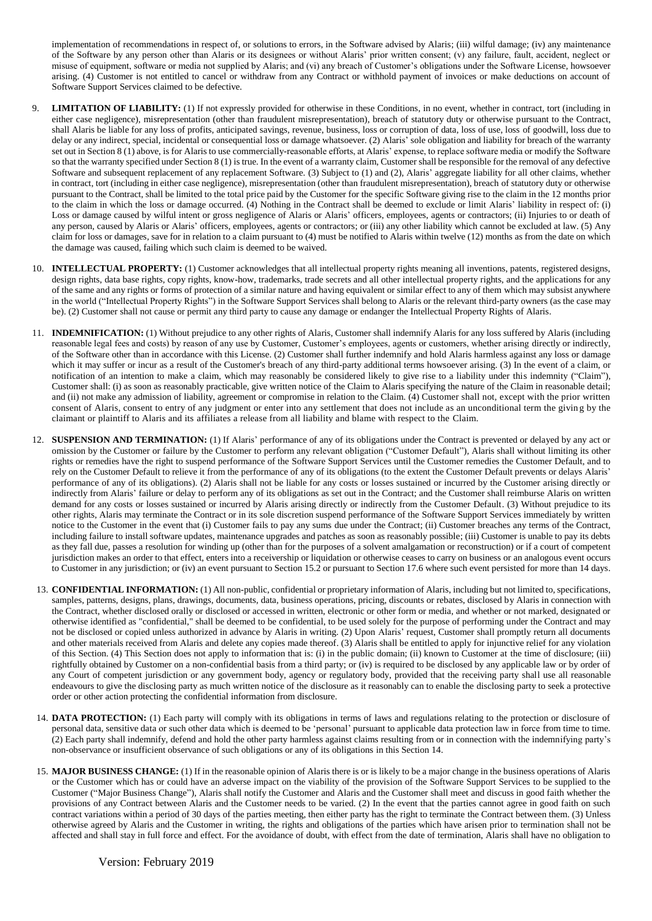implementation of recommendations in respect of, or solutions to errors, in the Software advised by Alaris; (iii) wilful damage; (iv) any maintenance of the Software by any person other than Alaris or its designees or without Alaris' prior written consent; (v) any failure, fault, accident, neglect or misuse of equipment, software or media not supplied by Alaris; and (vi) any breach of Customer's obligations under the Software License, howsoever arising. (4) Customer is not entitled to cancel or withdraw from any Contract or withhold payment of invoices or make deductions on account of Software Support Services claimed to be defective.

- **LIMITATION OF LIABILITY:** (1) If not expressly provided for otherwise in these Conditions, in no event, whether in contract, tort (including in either case negligence), misrepresentation (other than fraudulent misrepresentation), breach of statutory duty or otherwise pursuant to the Contract, shall Alaris be liable for any loss of profits, anticipated savings, revenue, business, loss or corruption of data, loss of use, loss of goodwill, loss due to delay or any indirect, special, incidental or consequential loss or damage whatsoever. (2) Alaris' sole obligation and liability for breach of the warranty set out in Section 8 (1) above, is for Alaris to use commercially-reasonable efforts, at Alaris' expense, to replace software media or modify the Software so that the warranty specified under Section 8 (1) is true. In the event of a warranty claim, Customer shall be responsible for the removal of any defective Software and subsequent replacement of any replacement Software. (3) Subject to (1) and (2), Alaris' aggregate liability for all other claims, whether in contract, tort (including in either case negligence), misrepresentation (other than fraudulent misrepresentation), breach of statutory duty or otherwise pursuant to the Contract, shall be limited to the total price paid by the Customer for the specific Software giving rise to the claim in the 12 months prior to the claim in which the loss or damage occurred. (4) Nothing in the Contract shall be deemed to exclude or limit Alaris' liability in respect of: (i) Loss or damage caused by wilful intent or gross negligence of Alaris or Alaris' officers, employees, agents or contractors; (ii) Injuries to or death of any person, caused by Alaris or Alaris' officers, employees, agents or contractors; or (iii) any other liability which cannot be excluded at law. (5) Any claim for loss or damages, save for in relation to a claim pursuant to (4) must be notified to Alaris within twelve (12) months as from the date on which the damage was caused, failing which such claim is deemed to be waived.
- 10. **INTELLECTUAL PROPERTY:** (1) Customer acknowledges that all intellectual property rights meaning all inventions, patents, registered designs, design rights, data base rights, copy rights, know-how, trademarks, trade secrets and all other intellectual property rights, and the applications for any of the same and any rights or forms of protection of a similar nature and having equivalent or similar effect to any of them which may subsist anywhere in the world ("Intellectual Property Rights") in the Software Support Services shall belong to Alaris or the relevant third-party owners (as the case may be). (2) Customer shall not cause or permit any third party to cause any damage or endanger the Intellectual Property Rights of Alaris.
- 11. **INDEMNIFICATION:** (1) Without prejudice to any other rights of Alaris, Customer shall indemnify Alaris for any loss suffered by Alaris (including reasonable legal fees and costs) by reason of any use by Customer, Customer's employees, agents or customers, whether arising directly or indirectly, of the Software other than in accordance with this License. (2) Customer shall further indemnify and hold Alaris harmless against any loss or damage which it may suffer or incur as a result of the Customer's breach of any third-party additional terms howsoever arising. (3) In the event of a claim, or notification of an intention to make a claim, which may reasonably be considered likely to give rise to a liability under this indemnity ("Claim"), Customer shall: (i) as soon as reasonably practicable, give written notice of the Claim to Alaris specifying the nature of the Claim in reasonable detail; and (ii) not make any admission of liability, agreement or compromise in relation to the Claim. (4) Customer shall not, except with the prior written consent of Alaris, consent to entry of any judgment or enter into any settlement that does not include as an unconditional term the givin g by the claimant or plaintiff to Alaris and its affiliates a release from all liability and blame with respect to the Claim.
- 12. **SUSPENSION AND TERMINATION:** (1) If Alaris' performance of any of its obligations under the Contract is prevented or delayed by any act or omission by the Customer or failure by the Customer to perform any relevant obligation ("Customer Default"), Alaris shall without limiting its other rights or remedies have the right to suspend performance of the Software Support Services until the Customer remedies the Customer Default, and to rely on the Customer Default to relieve it from the performance of any of its obligations (to the extent the Customer Default prevents or delays Alaris' performance of any of its obligations). (2) Alaris shall not be liable for any costs or losses sustained or incurred by the Customer arising directly or indirectly from Alaris' failure or delay to perform any of its obligations as set out in the Contract; and the Customer shall reimburse Alaris on written demand for any costs or losses sustained or incurred by Alaris arising directly or indirectly from the Customer Default. (3) Without prejudice to its other rights, Alaris may terminate the Contract or in its sole discretion suspend performance of the Software Support Services immediately by written notice to the Customer in the event that (i) Customer fails to pay any sums due under the Contract; (ii) Customer breaches any terms of the Contract, including failure to install software updates, maintenance upgrades and patches as soon as reasonably possible; (iii) Customer is unable to pay its debts as they fall due, passes a resolution for winding up (other than for the purposes of a solvent amalgamation or reconstruction) or if a court of competent jurisdiction makes an order to that effect, enters into a receivership or liquidation or otherwise ceases to carry on business or an analogous event occurs to Customer in any jurisdiction; or (iv) an event pursuant to Section 15.2 or pursuant to Section 17.6 where such event persisted for more than 14 days.
- 13. **CONFIDENTIAL INFORMATION:** (1) All non-public, confidential or proprietary information of Alaris, including but not limited to, specifications, samples, patterns, designs, plans, drawings, documents, data, business operations, pricing, discounts or rebates, disclosed by Alaris in connection with the Contract, whether disclosed orally or disclosed or accessed in written, electronic or other form or media, and whether or not marked, designated or otherwise identified as "confidential," shall be deemed to be confidential, to be used solely for the purpose of performing under the Contract and may not be disclosed or copied unless authorized in advance by Alaris in writing. (2) Upon Alaris' request, Customer shall promptly return all documents and other materials received from Alaris and delete any copies made thereof. (3) Alaris shall be entitled to apply for injunctive relief for any violation of this Section. (4) This Section does not apply to information that is: (i) in the public domain; (ii) known to Customer at the time of disclosure; (iii) rightfully obtained by Customer on a non-confidential basis from a third party; or (iv) is required to be disclosed by any applicable law or by order of any Court of competent jurisdiction or any government body, agency or regulatory body, provided that the receiving party shall use all reasonable endeavours to give the disclosing party as much written notice of the disclosure as it reasonably can to enable the disclosing party to seek a protective order or other action protecting the confidential information from disclosure.
- 14. **DATA PROTECTION:** (1) Each party will comply with its obligations in terms of laws and regulations relating to the protection or disclosure of personal data, sensitive data or such other data which is deemed to be 'personal' pursuant to applicable data protection law in force from time to time. (2) Each party shall indemnify, defend and hold the other party harmless against claims resulting from or in connection with the indemnifying party's non-observance or insufficient observance of such obligations or any of its obligations in this Section 14.
- 15. **MAJOR BUSINESS CHANGE:** (1) If in the reasonable opinion of Alaris there is or is likely to be a major change in the business operations of Alaris or the Customer which has or could have an adverse impact on the viability of the provision of the Software Support Services to be supplied to the Customer ("Major Business Change"), Alaris shall notify the Customer and Alaris and the Customer shall meet and discuss in good faith whether the provisions of any Contract between Alaris and the Customer needs to be varied. (2) In the event that the parties cannot agree in good faith on such contract variations within a period of 30 days of the parties meeting, then either party has the right to terminate the Contract between them. (3) Unless otherwise agreed by Alaris and the Customer in writing, the rights and obligations of the parties which have arisen prior to termination shall not be affected and shall stay in full force and effect. For the avoidance of doubt, with effect from the date of termination, Alaris shall have no obligation to